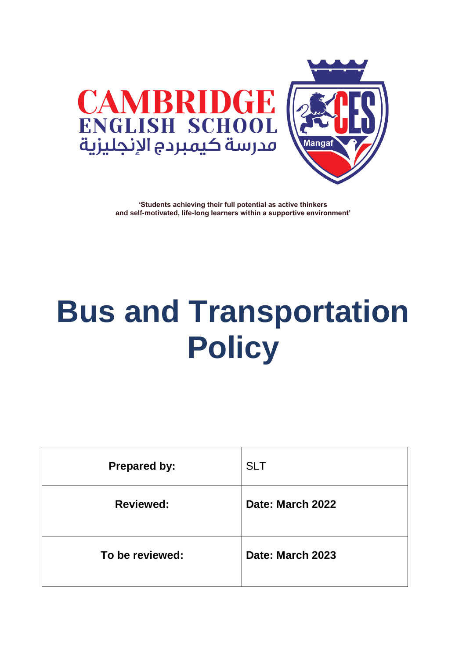



**'Students achieving their full potential as active thinkers and self-motivated, life-long learners within a supportive environment'**

# **Bus and Transportation Policy**

| <b>Prepared by:</b> | <b>SLT</b>       |
|---------------------|------------------|
| <b>Reviewed:</b>    | Date: March 2022 |
| To be reviewed:     | Date: March 2023 |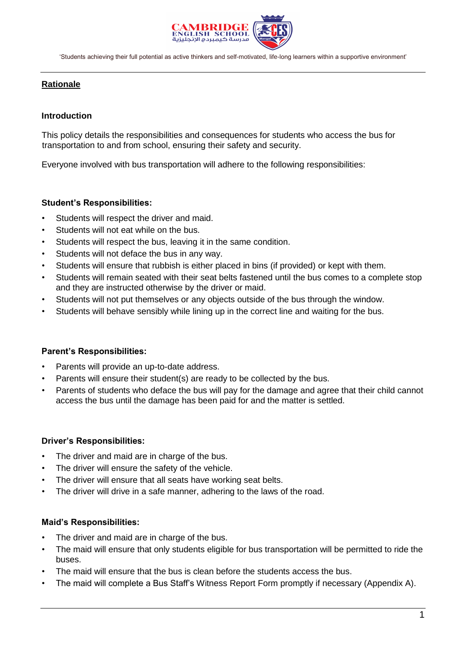

'Students achieving their full potential as active thinkers and self-motivated, life-long learners within a supportive environment'

# **Rationale**

## **Introduction**

This policy details the responsibilities and consequences for students who access the bus for transportation to and from school, ensuring their safety and security.

Everyone involved with bus transportation will adhere to the following responsibilities:

#### **Student's Responsibilities:**

- Students will respect the driver and maid.
- Students will not eat while on the bus.
- Students will respect the bus, leaving it in the same condition.
- Students will not deface the bus in any way.
- Students will ensure that rubbish is either placed in bins (if provided) or kept with them.
- Students will remain seated with their seat belts fastened until the bus comes to a complete stop and they are instructed otherwise by the driver or maid.
- Students will not put themselves or any objects outside of the bus through the window.
- Students will behave sensibly while lining up in the correct line and waiting for the bus.

#### **Parent's Responsibilities:**

- Parents will provide an up-to-date address.
- Parents will ensure their student(s) are ready to be collected by the bus.
- Parents of students who deface the bus will pay for the damage and agree that their child cannot access the bus until the damage has been paid for and the matter is settled.

#### **Driver's Responsibilities:**

- The driver and maid are in charge of the bus.
- The driver will ensure the safety of the vehicle.
- The driver will ensure that all seats have working seat belts.
- The driver will drive in a safe manner, adhering to the laws of the road.

#### **Maid's Responsibilities:**

- The driver and maid are in charge of the bus.
- The maid will ensure that only students eligible for bus transportation will be permitted to ride the buses.
- The maid will ensure that the bus is clean before the students access the bus.
- The maid will complete a Bus Staff's Witness Report Form promptly if necessary (Appendix A).